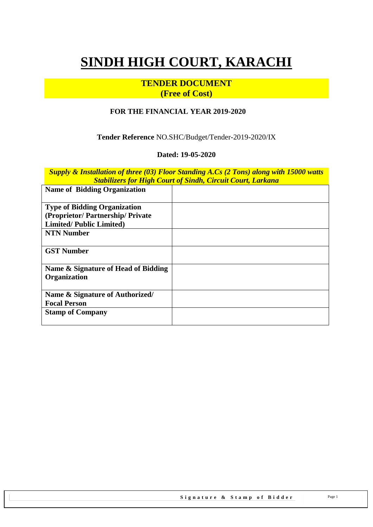# **SINDH HIGH COURT, KARACHI**

# **TENDER DOCUMENT (Free of Cost)**

#### **FOR THE FINANCIAL YEAR 2019-2020**

**Tender Reference** NO.SHC/Budget/Tender-2019-2020/IX

#### **Dated: 19-05-2020**

*Supply & Installation of three (03) Floor Standing A.Cs (2 Tons) along with 15000 watts Stabilizers for High Court of Sindh, Circuit Court, Larkana*

| <b>Name of Bidding Organization</b> |  |
|-------------------------------------|--|
| <b>Type of Bidding Organization</b> |  |
| (Proprietor/Partnership/Private     |  |
| <b>Limited/Public Limited)</b>      |  |
| <b>NTN Number</b>                   |  |
| <b>GST Number</b>                   |  |
| Name & Signature of Head of Bidding |  |
| Organization                        |  |
| Name & Signature of Authorized/     |  |
| <b>Focal Person</b>                 |  |
| <b>Stamp of Company</b>             |  |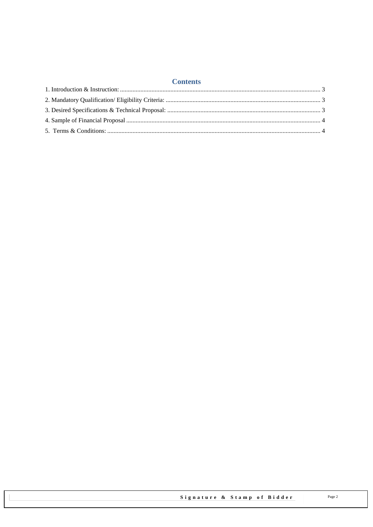# **Contents**

<span id="page-1-0"></span>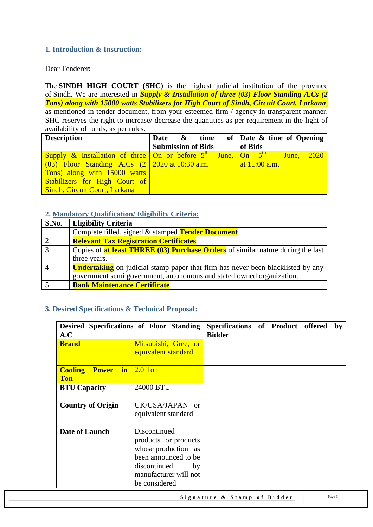# **1. Introduction & Instruction:**

Dear Tenderer:

The **SINDH HIGH COURT (SHC)** is the highest judicial institution of the province of [Sindh.](https://en.wikipedia.org/wiki/Sindh) We are interested in *Supply & Installation of three (03) Floor Standing A.Cs (2 Tons) along with 15000 watts Stabilizers for High Court of Sindh, Circuit Court, Larkana*, as mentioned in tender document, from your esteemed firm / agency in transparent manner. SHC reserves the right to increase/ decrease the quantities as per requirement in the light of availability of funds, as per rules.

| <b>Description</b>                                                                                                 | Date & time               |  |         | of $\vert$ Date & time of Opening |  |
|--------------------------------------------------------------------------------------------------------------------|---------------------------|--|---------|-----------------------------------|--|
|                                                                                                                    | <b>Submission of Bids</b> |  | of Bids |                                   |  |
| <b>Supply &amp; Installation of three On or before <math>5^{th}</math> June, On <math>5^{th}</math> June, 2020</b> |                           |  |         |                                   |  |
| $(03)$ Floor Standing A.Cs $(2 \mid 2020 \text{ at } 10:30 \text{ a.m.})$                                          |                           |  |         | at $11:00$ a.m.                   |  |
| Tons) along with 15000 watts                                                                                       |                           |  |         |                                   |  |
| Stabilizers for High Court of                                                                                      |                           |  |         |                                   |  |
| <b>Sindh, Circuit Court, Larkana</b>                                                                               |                           |  |         |                                   |  |

#### <span id="page-2-0"></span>**2. Mandatory Qualification/ Eligibility Criteria:**

| S.No. | <b>Eligibility Criteria</b>                                                            |
|-------|----------------------------------------------------------------------------------------|
|       | Complete filled, signed & stamped <b>Tender Document</b>                               |
|       | <b>Relevant Tax Registration Certificates</b>                                          |
| 3     | Copies of <b>at least THREE (03) Purchase Orders</b> of similar nature during the last |
|       | three years.                                                                           |
|       | <b>Undertaking</b> on judicial stamp paper that firm has never been blacklisted by any |
|       | government semi government, autonomous and stated owned organization.                  |
|       | <b>Bank Maintenance Certificate</b>                                                    |

### <span id="page-2-1"></span>**3. Desired Specifications & Technical Proposal:**

| Desired Specifications of Floor Standing<br>A.C            |                                                                                                                                                       | Specifications of Product offered<br><b>Bidder</b> |  | by |
|------------------------------------------------------------|-------------------------------------------------------------------------------------------------------------------------------------------------------|----------------------------------------------------|--|----|
| <b>Brand</b>                                               | Mitsubishi, Gree, or<br>equivalent standard                                                                                                           |                                                    |  |    |
| $-$ in $ $<br><b>Cooling</b><br><b>Power</b><br><b>Ton</b> | $2.0$ Ton                                                                                                                                             |                                                    |  |    |
| <b>BTU Capacity</b>                                        | 24000 BTU                                                                                                                                             |                                                    |  |    |
| <b>Country of Origin</b>                                   | UK/USA/JAPAN or<br>equivalent standard                                                                                                                |                                                    |  |    |
| <b>Date of Launch</b>                                      | Discontinued<br>products or products<br>whose production has<br>been announced to be.<br>discontinued<br>by<br>manufacturer will not<br>be considered |                                                    |  |    |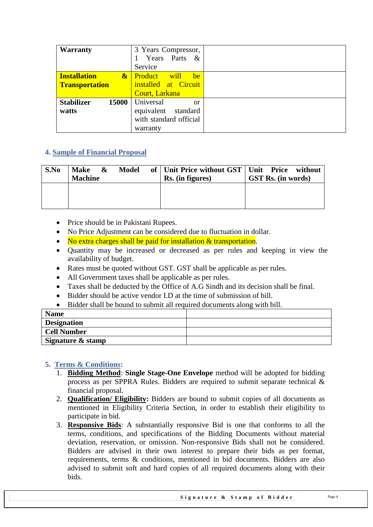| Warranty                   | 3 Years Compressor,        |  |
|----------------------------|----------------------------|--|
|                            | Years Parts &              |  |
|                            | Service                    |  |
| <b>Installation</b>        | will<br>& Product<br>be    |  |
| <b>Transportation</b>      | installed at Circuit       |  |
|                            | Court, Larkana             |  |
| <b>Stabilizer</b><br>15000 | Universal<br><sub>or</sub> |  |
| watts                      | equivalent<br>standard     |  |
|                            | with standard official     |  |
|                            | warranty                   |  |

# <span id="page-3-0"></span>**4. Sample of Financial Proposal**

| S.No | <b>Make</b><br>&<br><b>Machine</b> | Model | of   Unit Price without GST   Unit Price without<br>Rs. (in figures) | <b>GST Rs.</b> (in words) |
|------|------------------------------------|-------|----------------------------------------------------------------------|---------------------------|
|      |                                    |       |                                                                      |                           |

- Price should be in Pakistani Rupees.
- No Price Adjustment can be considered due to fluctuation in dollar.
- No extra charges shall be paid for installation & transportation.
- Ouantity may be increased or decreased as per rules and keeping in view the availability of budget.
- Rates must be quoted without GST. GST shall be applicable as per rules.
- All Government taxes shall be applicable as per rules.
- Taxes shall be deducted by the Office of A.G Sindh and its decision shall be final.
- Bidder should be active vendor I.D at the time of submission of bill.
- Bidder shall be bound to submit all required documents along with bill.

| <b>Name</b>        |  |
|--------------------|--|
| <b>Designation</b> |  |
| <b>Cell Number</b> |  |
| Signature & stamp  |  |

### <span id="page-3-1"></span>**5. Terms & Conditions:**

- 1. **Bidding Method**: **Single Stage-One Envelope** method will be adopted for bidding process as per SPPRA Rules. Bidders are required to submit separate technical & financial proposal.
- 2. **Qualification/ Eligibility:** Bidders are bound to submit copies of all documents as mentioned in Eligibility Criteria Section, in order to establish their eligibility to participate in bid.
- 3. **Responsive Bids**: A substantially responsive Bid is one that conforms to all the terms, conditions, and specifications of the Bidding Documents without material deviation, reservation, or omission. Non-responsive Bids shall not be considered. Bidders are advised in their own interest to prepare their bids as per format, requirements, terms & conditions, mentioned in bid documents. Bidders are also advised to submit soft and hard copies of all required documents along with their bids.